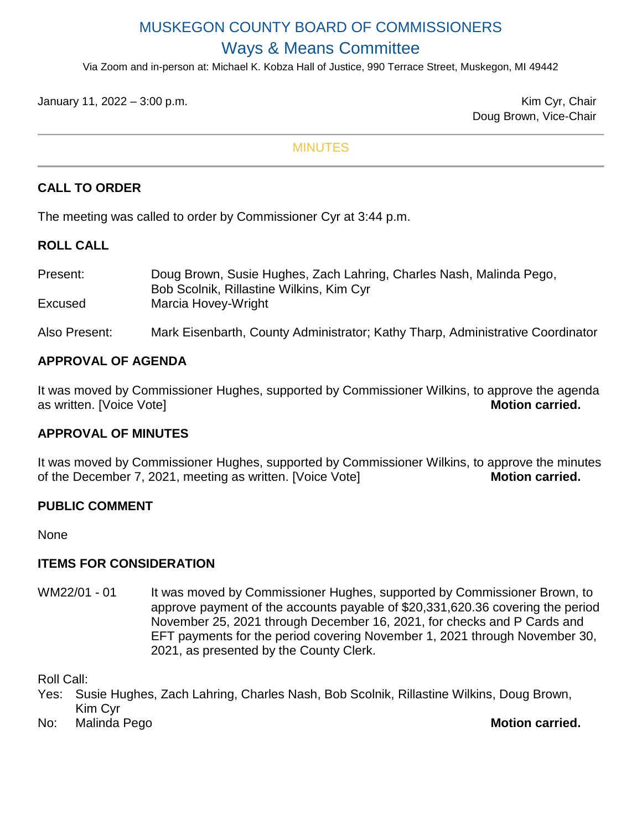# MUSKEGON COUNTY BOARD OF COMMISSIONERS Ways & Means Committee

Via Zoom and in-person at: Michael K. Kobza Hall of Justice, 990 Terrace Street, Muskegon, MI 49442

January 11, 2022 – 3:00 p.m. Kim Cyr, Chair

Doug Brown, Vice-Chair

#### **MINUTES**

## **CALL TO ORDER**

The meeting was called to order by Commissioner Cyr at 3:44 p.m.

## **ROLL CALL**

| Present: | Doug Brown, Susie Hughes, Zach Lahring, Charles Nash, Malinda Pego, |
|----------|---------------------------------------------------------------------|
|          | Bob Scolnik, Rillastine Wilkins, Kim Cyr                            |
| Excused  | Marcia Hovey-Wright                                                 |

Also Present: Mark Eisenbarth, County Administrator; Kathy Tharp, Administrative Coordinator

## **APPROVAL OF AGENDA**

It was moved by Commissioner Hughes, supported by Commissioner Wilkins, to approve the agenda<br>as written, IVoice Votel<br>Motion carried. as written. [Voice Vote]

## **APPROVAL OF MINUTES**

It was moved by Commissioner Hughes, supported by Commissioner Wilkins, to approve the minutes of the December 7, 2021, meeting as written. [Voice Vote] **Motion carried.** 

## **PUBLIC COMMENT**

None

## **ITEMS FOR CONSIDERATION**

WM22/01 - 01 It was moved by Commissioner Hughes, supported by Commissioner Brown, to approve payment of the accounts payable of \$20,331,620.36 covering the period November 25, 2021 through December 16, 2021, for checks and P Cards and EFT payments for the period covering November 1, 2021 through November 30, 2021, as presented by the County Clerk.

Roll Call:

- Yes: Susie Hughes, Zach Lahring, Charles Nash, Bob Scolnik, Rillastine Wilkins, Doug Brown, Kim Cyr
- No: Malinda Pego **Motion carried.**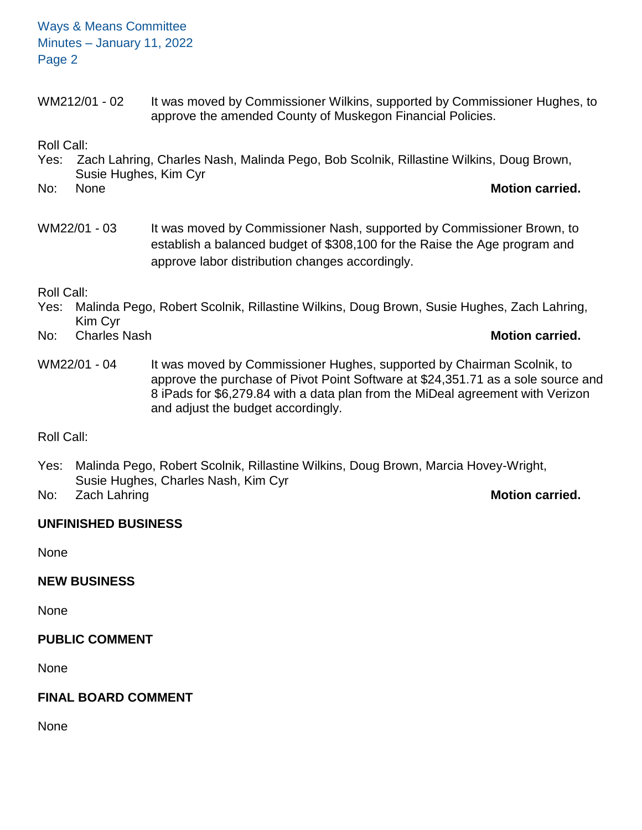Ways & Means Committee Minutes – January 11, 2022 Page 2

WM212/01 - 02 It was moved by Commissioner Wilkins, supported by Commissioner Hughes, to approve the amended County of Muskegon Financial Policies.

Roll Call:

Yes: Zach Lahring, Charles Nash, Malinda Pego, Bob Scolnik, Rillastine Wilkins, Doug Brown, Susie Hughes, Kim Cyr No: None **Motion carried.**

WM22/01 - 03 It was moved by Commissioner Nash, supported by Commissioner Brown, to establish a balanced budget of \$308,100 for the Raise the Age program and approve labor distribution changes accordingly.

Roll Call:

- Yes: Malinda Pego, Robert Scolnik, Rillastine Wilkins, Doug Brown, Susie Hughes, Zach Lahring, Kim Cyr
- No: Charles Nash **Motion carried.**
- WM22/01 04 It was moved by Commissioner Hughes, supported by Chairman Scolnik, to approve the purchase of Pivot Point Software at \$24,351.71 as a sole source and 8 iPads for \$6,279.84 with a data plan from the MiDeal agreement with Verizon and adjust the budget accordingly.

Roll Call:

Yes: Malinda Pego, Robert Scolnik, Rillastine Wilkins, Doug Brown, Marcia Hovey-Wright, Susie Hughes, Charles Nash, Kim Cyr

No: Zach Lahring **Motion carried.**

# **UNFINISHED BUSINESS**

None

**NEW BUSINESS**

None

**PUBLIC COMMENT**

None

# **FINAL BOARD COMMENT**

None